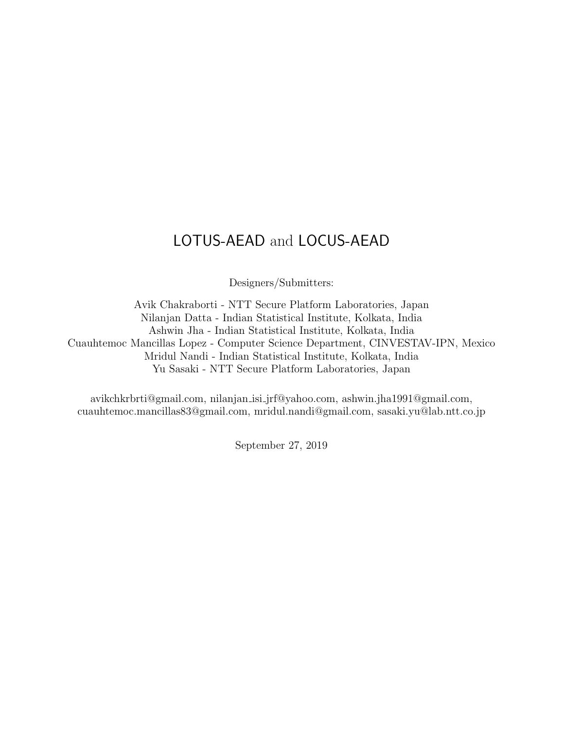## <span id="page-0-0"></span>LOTUS-AEAD and LOCUS-AEAD

Designers/Submitters:

Avik Chakraborti - NTT Secure Platform Laboratories, Japan Nilanjan Datta - Indian Statistical Institute, Kolkata, India Ashwin Jha - Indian Statistical Institute, Kolkata, India Cuauhtemoc Mancillas Lopez - Computer Science Department, CINVESTAV-IPN, Mexico Mridul Nandi - Indian Statistical Institute, Kolkata, India Yu Sasaki - NTT Secure Platform Laboratories, Japan

avikchkrbrti@gmail.com, nilanjan isi jrf@yahoo.com, ashwin.jha1991@gmail.com, cuauhtemoc.mancillas83@gmail.com, mridul.nandi@gmail.com, sasaki.yu@lab.ntt.co.jp

September 27, 2019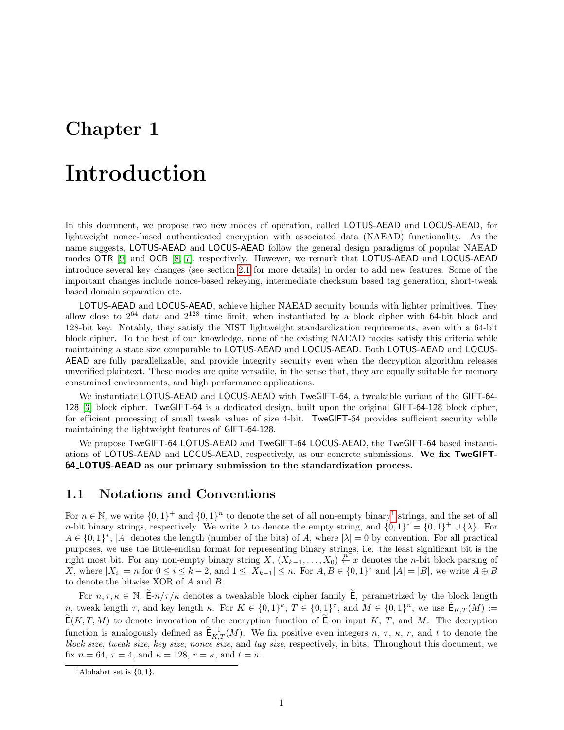## Introduction

In this document, we propose two new modes of operation, called LOTUS-AEAD and LOCUS-AEAD, for lightweight nonce-based authenticated encryption with associated data (NAEAD) functionality. As the name suggests, LOTUS-AEAD and LOCUS-AEAD follow the general design paradigms of popular NAEAD modes OTR [\[9\]](#page-20-0) and OCB [\[8,](#page-20-1) [7\]](#page-20-2), respectively. However, we remark that LOTUS-AEAD and LOCUS-AEAD introduce several key changes (see section [2.1](#page-3-0) for more details) in order to add new features. Some of the important changes include nonce-based rekeying, intermediate checksum based tag generation, short-tweak based domain separation etc.

LOTUS-AEAD and LOCUS-AEAD, achieve higher NAEAD security bounds with lighter primitives. They allow close to  $2^{64}$  data and  $2^{128}$  time limit, when instantiated by a block cipher with 64-bit block and 128-bit key. Notably, they satisfy the NIST lightweight standardization requirements, even with a 64-bit block cipher. To the best of our knowledge, none of the existing NAEAD modes satisfy this criteria while maintaining a state size comparable to LOTUS-AEAD and LOCUS-AEAD. Both LOTUS-AEAD and LOCUS-AEAD are fully parallelizable, and provide integrity security even when the decryption algorithm releases unverified plaintext. These modes are quite versatile, in the sense that, they are equally suitable for memory constrained environments, and high performance applications.

We instantiate LOTUS-AEAD and LOCUS-AEAD with TweGIFT-64, a tweakable variant of the GIFT-64- 128 [\[3\]](#page-20-3) block cipher. TweGIFT-64 is a dedicated design, built upon the original GIFT-64-128 block cipher, for efficient processing of small tweak values of size 4-bit. TweGIFT-64 provides sufficient security while maintaining the lightweight features of GIFT-64-128.

We propose TweGIFT-64 LOTUS-AEAD and TweGIFT-64 LOCUS-AEAD, the TweGIFT-64 based instantiations of LOTUS-AEAD and LOCUS-AEAD, respectively, as our concrete submissions. We fix TweGIFT-64 LOTUS-AEAD as our primary submission to the standardization process.

### 1.1 Notations and Conventions

For  $n \in \mathbb{N}$ , we write  $\{0,1\}^+$  $\{0,1\}^+$  $\{0,1\}^+$  and  $\{0,1\}^n$  to denote the set of all non-empty binary<sup>1</sup> strings, and the set of all *n*-bit binary strings, respectively. We write  $\lambda$  to denote the empty string, and  $\{0,1\}^* = \{0,1\}^+ \cup \{\lambda\}$ . For  $A \in \{0,1\}^*, |A|$  denotes the length (number of the bits) of A, where  $|\lambda| = 0$  by convention. For all practical purposes, we use the little-endian format for representing binary strings, i.e. the least significant bit is the right most bit. For any non-empty binary string  $X, (X_{k-1},...,X_0) \stackrel{n}{\leftarrow} x$  denotes the *n*-bit block parsing of X, where  $|X_i| = n$  for  $0 \le i \le k-2$ , and  $1 \le |X_{k-1}| \le n$ . For  $A, B \in \{0,1\}^*$  and  $|A| = |B|$ , we write  $A \oplus B$ to denote the bitwise XOR of A and B.

For  $n, \tau, \kappa \in \mathbb{N}$ ,  $\mathsf{E}-n/\tau/\kappa$  denotes a tweakable block cipher family  $\mathsf{E}$ , parametrized by the block length n, tweak length  $\tau$ , and key length  $\kappa$ . For  $K \in \{0,1\}^{\kappa}$ ,  $T \in \{0,1\}^{\tau}$ , and  $M \in \{0,1\}^n$ , we use  $\mathbb{E}_{K,T}(M) :=$  $\widetilde{\mathsf{E}}(K,T,M)$  to denote invocation of the encryption function of  $\widetilde{\mathsf{E}}$  on input K, T, and M. The decryption function is analogously defined as  $\widetilde{\mathsf{E}}_{K,T}^{-1}(M)$ . We fix positive even integers  $n, \tau, \kappa, r$ , and t to denote the block size, tweak size, key size, nonce size, and tag size, respectively, in bits. Throughout this document, we fix  $n = 64$ ,  $\tau = 4$ , and  $\kappa = 128$ ,  $r = \kappa$ , and  $t = n$ .

<sup>&</sup>lt;sup>1</sup>Alphabet set is  $\{0, 1\}$ .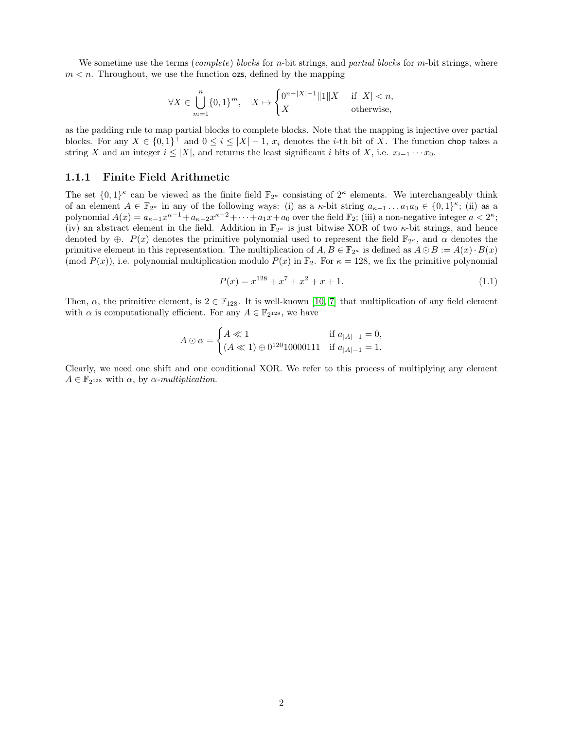We sometime use the terms (complete) blocks for n-bit strings, and partial blocks for m-bit strings, where  $m < n$ . Throughout, we use the function **ozs**, defined by the mapping

$$
\forall X \in \bigcup_{m=1}^n \{0,1\}^m, \quad X \mapsto \begin{cases} 0^{n-|X|-1}\|1\|X & \text{ if } |X| < n, \\ X & \text{ otherwise,} \end{cases}
$$

as the padding rule to map partial blocks to complete blocks. Note that the mapping is injective over partial blocks. For any  $X \in \{0,1\}^+$  and  $0 \le i \le |X|-1$ ,  $x_i$  denotes the *i*-th bit of X. The function chop takes a string X and an integer  $i \leq |X|$ , and returns the least significant i bits of X, i.e.  $x_{i-1} \cdots x_0$ .

#### <span id="page-2-0"></span>1.1.1 Finite Field Arithmetic

The set  $\{0,1\}^{\kappa}$  can be viewed as the finite field  $\mathbb{F}_{2^{\kappa}}$  consisting of  $2^{\kappa}$  elements. We interchangeably think of an element  $A \in \mathbb{F}_{2^{\kappa}}$  in any of the following ways: (i) as a  $\kappa$ -bit string  $a_{\kappa-1} \dots a_1 a_0 \in \{0,1\}^{\kappa}$ ; (ii) as a polynomial  $A(x) = a_{\kappa-1}x^{\kappa-1} + a_{\kappa-2}x^{\kappa-2} + \cdots + a_1x + a_0$  over the field  $\mathbb{F}_2$ ; (iii) a non-negative integer  $a < 2^{\kappa}$ ; (iv) an abstract element in the field. Addition in  $\mathbb{F}_{2^{\kappa}}$  is just bitwise XOR of two  $\kappa$ -bit strings, and hence denoted by  $\oplus$ .  $P(x)$  denotes the primitive polynomial used to represent the field  $\mathbb{F}_{2^{\kappa}}$ , and  $\alpha$  denotes the primitive element in this representation. The multiplication of  $A, B \in \mathbb{F}_{2^{\kappa}}$  is defined as  $A \odot B := A(x) \cdot B(x)$ (mod  $P(x)$ ), i.e. polynomial multiplication modulo  $P(x)$  in  $\mathbb{F}_2$ . For  $\kappa = 128$ , we fix the primitive polynomial

$$
P(x) = x^{128} + x^7 + x^2 + x + 1.
$$
\n(1.1)

Then,  $\alpha$ , the primitive element, is  $2 \in \mathbb{F}_{128}$ . It is well-known [\[10,](#page-20-4) [7\]](#page-20-2) that multiplication of any field element with  $\alpha$  is computationally efficient. For any  $A \in \mathbb{F}_{2^{128}}$ , we have

$$
A \odot \alpha = \begin{cases} A \ll 1 & \text{if } a_{|A|-1} = 0, \\ (A \ll 1) \oplus 0^{120} 10000111 & \text{if } a_{|A|-1} = 1. \end{cases}
$$

Clearly, we need one shift and one conditional XOR. We refer to this process of multiplying any element  $A \in \mathbb{F}_{2^{128}}$  with  $\alpha$ , by  $\alpha$ -multiplication.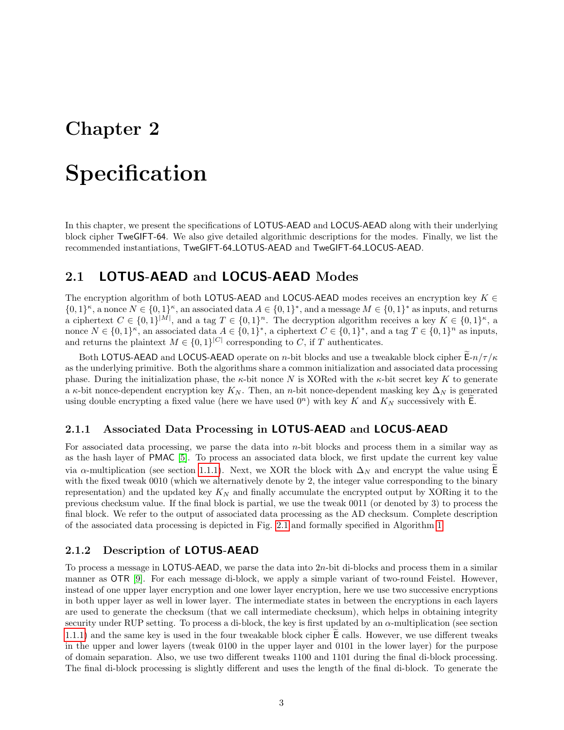# Specification

In this chapter, we present the specifications of LOTUS-AEAD and LOCUS-AEAD along with their underlying block cipher TweGIFT-64. We also give detailed algorithmic descriptions for the modes. Finally, we list the recommended instantiations, TweGIFT-64 LOTUS-AEAD and TweGIFT-64 LOCUS-AEAD.

### <span id="page-3-0"></span>2.1 LOTUS-AEAD and LOCUS-AEAD Modes

The encryption algorithm of both LOTUS-AEAD and LOCUS-AEAD modes receives an encryption key  $K \in$  $\{0,1\}^{\kappa}$ , a nonce  $N \in \{0,1\}^{\kappa}$ , an associated data  $A \in \{0,1\}^*$ , and a message  $M \in \{0,1\}^*$  as inputs, and returns a ciphertext  $C \in \{0,1\}^{|M|}$ , and a tag  $T \in \{0,1\}^n$ . The decryption algorithm receives a key  $K \in \{0,1\}^{\kappa}$ , a nonce  $N \in \{0,1\}^{\kappa}$ , an associated data  $A \in \{0,1\}^*$ , a ciphertext  $C \in \{0,1\}^*$ , and a tag  $T \in \{0,1\}^n$  as inputs, and returns the plaintext  $M \in \{0,1\}^{|C|}$  corresponding to C, if T authenticates.

Both LOTUS-AEAD and LOCUS-AEAD operate on n-bit blocks and use a tweakable block cipher  $E-n/\tau/\kappa$ as the underlying primitive. Both the algorithms share a common initialization and associated data processing phase. During the initialization phase, the  $\kappa$ -bit nonce N is XORed with the  $\kappa$ -bit secret key K to generate a  $\kappa$ -bit nonce-dependent encryption key  $K_N$ . Then, an n-bit nonce-dependent masking key  $\Delta_N$  is generated using double encrypting a fixed value (here we have used  $0<sup>n</sup>$ ) with key K and  $K<sub>N</sub>$  successively with E.

#### 2.1.1 Associated Data Processing in LOTUS-AEAD and LOCUS-AEAD

For associated data processing, we parse the data into  $n$ -bit blocks and process them in a similar way as as the hash layer of PMAC [\[5\]](#page-20-5). To process an associated data block, we first update the current key value via  $\alpha$ -multiplication (see section [1.1.1\)](#page-2-0). Next, we XOR the block with  $\Delta_N$  and encrypt the value using E with the fixed tweak 0010 (which we alternatively denote by 2, the integer value corresponding to the binary representation) and the updated key  $K_N$  and finally accumulate the encrypted output by XORing it to the previous checksum value. If the final block is partial, we use the tweak 0011 (or denoted by 3) to process the final block. We refer to the output of associated data processing as the AD checksum. Complete description of the associated data processing is depicted in Fig. [2.1](#page-4-0) and formally specified in Algorithm [1.](#page-5-0)

#### 2.1.2 Description of LOTUS-AEAD

To process a message in LOTUS-AEAD, we parse the data into  $2n$ -bit di-blocks and process them in a similar manner as OTR [\[9\]](#page-20-0). For each message di-block, we apply a simple variant of two-round Feistel. However, instead of one upper layer encryption and one lower layer encryption, here we use two successive encryptions in both upper layer as well in lower layer. The intermediate states in between the encryptions in each layers are used to generate the checksum (that we call intermediate checksum), which helps in obtaining integrity security under RUP setting. To process a di-block, the key is first updated by an  $\alpha$ -multiplication (see section [1.1.1\)](#page-2-0) and the same key is used in the four tweakable block cipher E calls. However, we use different tweaks in the upper and lower layers (tweak 0100 in the upper layer and 0101 in the lower layer) for the purpose of domain separation. Also, we use two different tweaks 1100 and 1101 during the final di-block processing. The final di-block processing is slightly different and uses the length of the final di-block. To generate the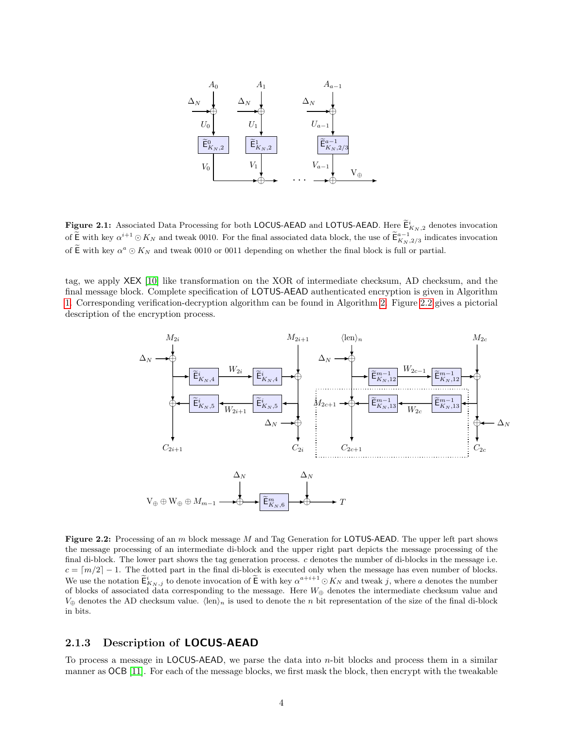<span id="page-4-0"></span>

**Figure 2.1:** Associated Data Processing for both LOCUS-AEAD and LOTUS-AEAD. Here  $\widetilde{\mathsf{E}}_{K_N,2}^i$  denotes invocation of  $\widetilde{\mathsf{E}}$  with key  $\alpha^{i+1} \odot K_N$  and tweak 0010. For the final associated data block, the use of  $\widetilde{\mathsf{E}}_{K_N,2/3}^{a-1}$  indicates invocation of  $\widetilde{\mathsf{E}}$  with key  $\alpha^a \odot K_N$  and tweak 0010 or 0011 depending on whether the final block is full or partial.

<span id="page-4-1"></span>tag, we apply XEX [\[10\]](#page-20-4) like transformation on the XOR of intermediate checksum, AD checksum, and the final message block. Complete specification of LOTUS-AEAD authenticated encryption is given in Algorithm [1.](#page-5-0) Corresponding verification-decryption algorithm can be found in Algorithm [2.](#page-6-0) Figure [2.2](#page-4-1) gives a pictorial description of the encryption process.



Figure 2.2: Processing of an m block message M and Tag Generation for LOTUS-AEAD. The upper left part shows the message processing of an intermediate di-block and the upper right part depicts the message processing of the final di-block. The lower part shows the tag generation process. c denotes the number of di-blocks in the message i.e.  $c = \lfloor m/2 \rfloor - 1$ . The dotted part in the final di-block is executed only when the message has even number of blocks. We use the notation  $\widetilde{\mathsf{E}}_{K_N,j}$  to denote invocation of  $\widetilde{\mathsf{E}}$  with key  $\alpha^{a+i+1} \odot K_N$  and tweak j, where a denotes the number of blocks of associated data corresponding to the message. Here  $W_{\oplus}$  denotes the intermediate checksum value and  $V_{\oplus}$  denotes the AD checksum value.  $\langle \text{len} \rangle_n$  is used to denote the n bit representation of the size of the final di-block in bits.

#### 2.1.3 Description of LOCUS-AEAD

To process a message in LOCUS-AEAD, we parse the data into  $n$ -bit blocks and process them in a similar manner as OCB [\[11\]](#page-20-6). For each of the message blocks, we first mask the block, then encrypt with the tweakable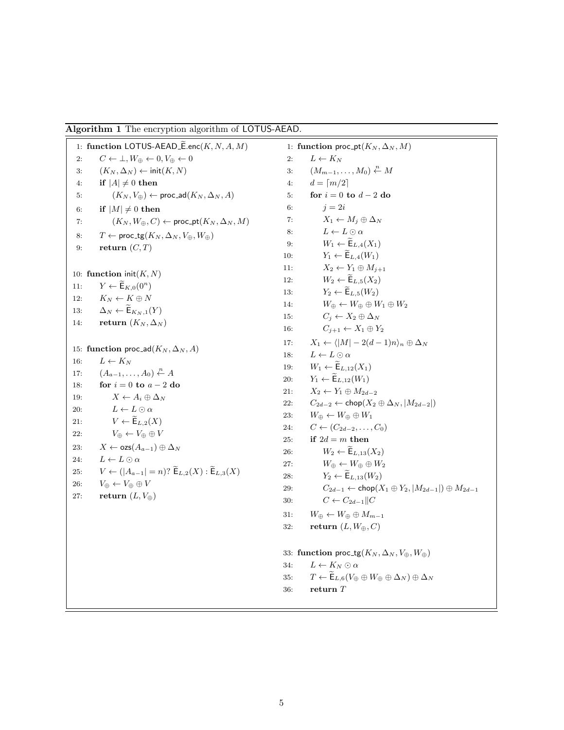<span id="page-5-0"></span>

|  |  |  |  |  | Algorithm 1 The encryption algorithm of LOTUS-AEAD. |
|--|--|--|--|--|-----------------------------------------------------|
|--|--|--|--|--|-----------------------------------------------------|

1: function LOTUS-AEAD\_ $\widetilde{E}$ .enc $(K, N, A, M)$ <br>2:  $C \leftarrow \perp, W_{\oplus} \leftarrow 0, V_{\oplus} \leftarrow 0$  $C \leftarrow \perp, W_{\oplus} \leftarrow 0, V_{\oplus} \leftarrow 0$ 3:  $(K_N, \Delta_N) \leftarrow \text{init}(K, N)$ 4: if  $|A| \neq 0$  then 5:  $(K_N, V_{\oplus}) \leftarrow \text{proc\_ad}(K_N, \Delta_N, A)$ 6: if  $|M| \neq 0$  then 7:  $(K_N, W_{\oplus}, C) \leftarrow \text{proc\_pt}(K_N, \Delta_N, M)$ 8:  $T \leftarrow \text{proc\_tg}(K_N, \Delta_N, V_{\oplus}, W_{\oplus})$ 9: return  $(C, T)$ 10: function  $init(K, N)$ 11:  $Y \leftarrow \widetilde{\mathsf{E}}_{K,0}(0^n)$ 12:  $K_N \leftarrow K \oplus N$ 13:  $\Delta_N \leftarrow \widetilde{\mathsf{E}}_{K_N,1}(Y)$ 14: return  $(K_N, \Delta_N)$ 15: function proc\_ad( $K_N, \Delta_N, A$ ) 16:  $L \leftarrow K_N$ 17:  $(A_{a-1},\ldots,A_0)\stackrel{n}{\leftarrow} A$ 18: for  $i = 0$  to  $a - 2$  do 19:  $X \leftarrow A_i \oplus \Delta_N$ 20:  $L \leftarrow L \odot \alpha$ 21:  $V \leftarrow \widetilde{\mathsf{E}}_{L,2}(X)$ <br>
22:  $V_{\oplus} \leftarrow V_{\oplus} \oplus V$  $V_\oplus \leftarrow V_\oplus \oplus V$ 23:  $X \leftarrow \text{ozs}(A_{a-1}) \oplus \Delta_N$ 24:  $L \leftarrow L \odot \alpha$ 25:  $V \leftarrow (|A_{a-1}| = n)$ ?  $\widetilde{\mathsf{E}}_{L,2}(X) : \widetilde{\mathsf{E}}_{L,3}(X)$ <br>26:  $V_{\oplus} \leftarrow V_{\oplus} \oplus V$  $V_{\oplus} \leftarrow V_{\oplus} \oplus V$ 27: return  $(L, V_{\oplus})$ 1: function proc\_pt( $K_N, \Delta_N, M$ ) 2:  $L \leftarrow K_N$ 3:  $(M_{m-1},\ldots,M_0)\stackrel{n}{\leftarrow}M$ 4:  $d = \lceil m/2 \rceil$ 5: for  $i = 0$  to  $d - 2$  do 6:  $j = 2i$ 7:  $X_1 \leftarrow M_i \oplus \Delta_N$ 8:  $L \leftarrow L \odot \alpha$ 9:  $W_1 \leftarrow \widetilde{\mathsf{E}}_{L,4}(X_1)$ <br>10:  $Y_1 \leftarrow \widetilde{\mathsf{E}}_{L,4}(W_1)$ 10:  $Y_1 \leftarrow \widetilde{\mathsf{E}}_{L,4}(W_1)$ <br>11:  $X_2 \leftarrow Y_1 \oplus M_{i+1}$  $X_2 \leftarrow Y_1 \oplus M_{j+1}$ 12:  $W_2 \leftarrow \widetilde{\mathsf{E}}_{L,5}(X_2)$ 13:  $Y_2 \leftarrow \widetilde{\mathsf{E}}_{L,5}(W_2)$ <br>14:  $W_{\oplus} \leftarrow W_{\oplus} \oplus W$  $W_{\oplus} \leftarrow W_{\oplus} \oplus W_1 \oplus W_2$ 15:  $C_i \leftarrow X_2 \oplus \Delta_N$ 16:  $C_{j+1} \leftarrow X_1 \oplus Y_2$ 17:  $X_1 \leftarrow \langle |M| - 2(d-1)n \rangle_n \oplus \Delta_N$ 18:  $L \leftarrow L \odot \alpha$ 19:  $W_1 \leftarrow \widetilde{\mathsf{E}}_{L,12}(X_1)$ <br>
20:  $Y_1 \leftarrow \widetilde{\mathsf{E}}_{L,12}(W_1)$ 20:  $Y_1 \leftarrow \widetilde{\mathsf{E}}_{L,12}(W_1)$ <br>
21:  $X_2 \leftarrow Y_1 \oplus M_{2d}$  $X_2 \leftarrow Y_1 \oplus M_{2d-2}$ 22:  $C_{2d-2} \leftarrow \text{chop}(X_2 \oplus \Delta_N, |M_{2d-2}|)$ 23:  $W_{\oplus} \leftarrow W_{\oplus} \oplus W_1$ 24:  $C \leftarrow (C_{2d-2}, \ldots, C_0)$ 25: if  $2d = m$  then 26:  $W_2 \leftarrow \widetilde{\mathsf{E}}_{L,13}(X_2)$ 27:  $W_{\oplus} \leftarrow W_{\oplus} \oplus W_2$ 28:  $Y_2 \leftarrow \widetilde{\mathsf{E}}_{L,13}(W_2)$ <br>
29:  $C_{2d-1} \leftarrow \mathsf{chop}(\lambda)$  $C_{2d-1} \leftarrow \mathsf{chop}(X_1 \oplus Y_2, |M_{2d-1}|) \oplus M_{2d-1}$ 30:  $C \leftarrow C_{2d-1} || C$ 31:  $W_{\oplus} \leftarrow W_{\oplus} \oplus M_{m-1}$ 32: return  $(L, W_{\oplus}, C)$ 33: function proc\_tg( $K_N, \Delta_N, V_{\oplus}, W_{\oplus}$ ) 34:  $L \leftarrow K_N \odot \alpha$ 35:  $T \leftarrow \widetilde{\mathsf{E}}_{L,6}(V_{\oplus} \oplus W_{\oplus} \oplus \Delta_N) \oplus \Delta_N$ <br>36: **return** T return  $T$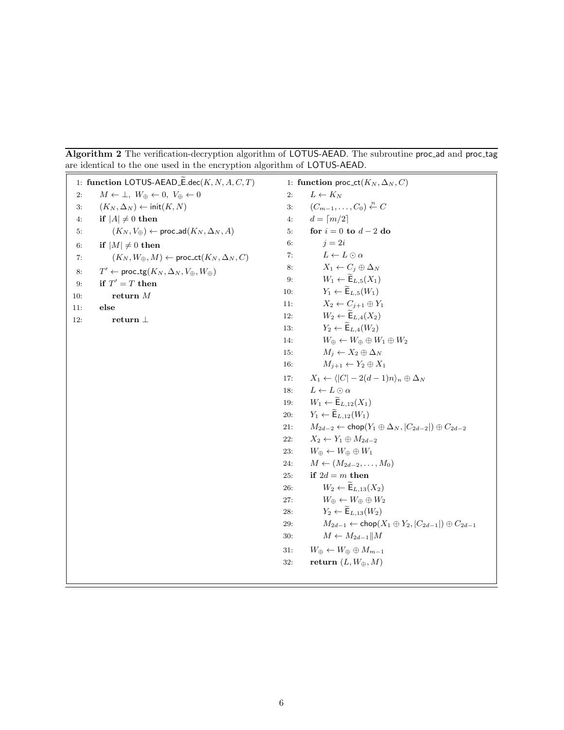<span id="page-6-0"></span>Algorithm 2 The verification-decryption algorithm of LOTUS-AEAD. The subroutine proc\_ad and proc\_tag are identical to the one used in the encryption algorithm of LOTUS-AEAD.

|     | 1: function LOTUS-AEAD_ $\widetilde{\mathsf{E}}.\mathsf{dec}(K, N, A, C, T)$ |     | 1: function proc-ct( $K_N, \Delta_N, C$ )                                            |
|-----|------------------------------------------------------------------------------|-----|--------------------------------------------------------------------------------------|
| 2:  | $M \leftarrow \perp, W_{\oplus} \leftarrow 0, V_{\oplus} \leftarrow 0$       | 2:  | $L \leftarrow K_N$                                                                   |
| 3:  | $(K_N, \Delta_N) \leftarrow \text{init}(K, N)$                               | 3:  | $(C_{m-1},\ldots,C_0)\overset{n}{\leftarrow} C$                                      |
| 4:  | if $ A  \neq 0$ then                                                         | 4:  | $d = \lceil m/2 \rceil$                                                              |
| 5:  | $(K_N, V_{\oplus}) \leftarrow \mathsf{proc}\_\mathsf{ad}(K_N, \Delta_N, A)$  | 5:  | for $i = 0$ to $d - 2$ do                                                            |
| 6:  | if $ M  \neq 0$ then                                                         | 6:  | $j=2i$                                                                               |
| 7:  | $(K_N, W_{\oplus}, M) \leftarrow \text{proc\_ct}(K_N, \Delta_N, C)$          | 7:  | $L \leftarrow L \odot \alpha$                                                        |
| 8:  | $T' \leftarrow \mathsf{proc\_tg}(K_N, \Delta_N, V_{\oplus}, W_{\oplus})$     | 8:  | $X_1 \leftarrow C_i \oplus \Delta_N$                                                 |
| 9:  | if $T' = T$ then                                                             | 9:  | $W_1 \leftarrow \widetilde{\mathsf{E}}_{L,5}(X_1)$                                   |
| 10: | return $M$                                                                   | 10: | $Y_1 \leftarrow \widetilde{\mathsf{E}}_{L,5}(W_1)$                                   |
| 11: | else                                                                         | 11: | $X_2 \leftarrow C_{i+1} \oplus Y_1$                                                  |
| 12: | return $\perp$                                                               | 12: | $W_2 \leftarrow \widetilde{\mathsf{E}}_{L,4}(X_2)$                                   |
|     |                                                                              | 13: | $Y_2 \leftarrow \widetilde{\mathsf{E}}_{L,4}(W_2)$                                   |
|     |                                                                              | 14: | $W_{\oplus} \leftarrow W_{\oplus} \oplus W_1 \oplus W_2$                             |
|     |                                                                              | 15: | $M_i \leftarrow X_2 \oplus \Delta_N$                                                 |
|     |                                                                              | 16: | $M_{i+1} \leftarrow Y_2 \oplus X_1$                                                  |
|     |                                                                              | 17: | $X_1 \leftarrow \langle  C  - 2(d-1)n \rangle_n \oplus \Delta_N$                     |
|     |                                                                              | 18: | $L \leftarrow L \odot \alpha$                                                        |
|     |                                                                              | 19: | $W_1 \leftarrow \widetilde{\mathsf{E}}_{L,12}(X_1)$                                  |
|     |                                                                              | 20: | $Y_1 \leftarrow \widetilde{\mathsf{E}}_{L,12}(W_1)$                                  |
|     |                                                                              | 21: | $M_{2d-2} \leftarrow \mathsf{chop}(Y_1 \oplus \Delta_N,  C_{2d-2} ) \oplus C_{2d-2}$ |
|     |                                                                              | 22: | $X_2 \leftarrow Y_1 \oplus M_{2d-2}$                                                 |
|     |                                                                              | 23: | $W_{\oplus} \leftarrow W_{\oplus} \oplus W_1$                                        |
|     |                                                                              | 24: | $M \leftarrow (M_{2d-2}, \ldots, M_0)$                                               |
|     |                                                                              | 25: | if $2d = m$ then                                                                     |
|     |                                                                              | 26: | $W_2 \leftarrow \widetilde{\mathsf{E}}_{L,13}(X_2)$                                  |
|     |                                                                              | 27: | $W_{\oplus} \leftarrow W_{\oplus} \oplus W_2$                                        |
|     |                                                                              | 28: | $Y_2 \leftarrow \widetilde{\mathsf{E}}_{L,13}(W_2)$                                  |
|     |                                                                              | 29: | $M_{2d-1} \leftarrow \mathsf{chop}(X_1 \oplus Y_2,  C_{2d-1} ) \oplus C_{2d-1}$      |
|     |                                                                              | 30: | $M \leftarrow M_{2d-1}    M$                                                         |
|     |                                                                              | 31: | $W_{\oplus} \leftarrow W_{\oplus} \oplus M_{m-1}$                                    |
|     |                                                                              | 32: | return $(L, W_{\oplus}, M)$                                                          |
|     |                                                                              |     |                                                                                      |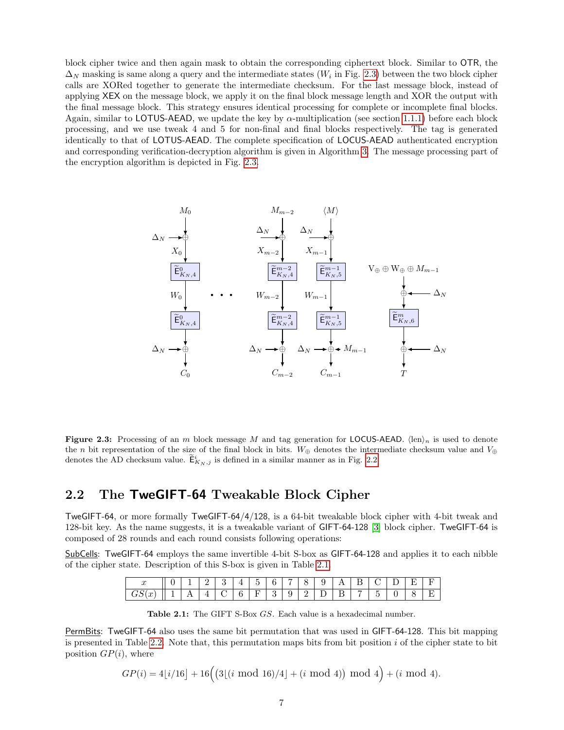block cipher twice and then again mask to obtain the corresponding ciphertext block. Similar to OTR, the  $\Delta_N$  masking is same along a query and the intermediate states ( $W_i$  in Fig. [2.3\)](#page-7-0) between the two block cipher calls are XORed together to generate the intermediate checksum. For the last message block, instead of applying XEX on the message block, we apply it on the final block message length and XOR the output with the final message block. This strategy ensures identical processing for complete or incomplete final blocks. Again, similar to LOTUS-AEAD, we update the key by  $\alpha$ -multiplication (see section [1.1.1\)](#page-2-0) before each block processing, and we use tweak 4 and 5 for non-final and final blocks respectively. The tag is generated identically to that of LOTUS-AEAD. The complete specification of LOCUS-AEAD authenticated encryption and corresponding verification-decryption algorithm is given in Algorithm [3.](#page-8-0) The message processing part of the encryption algorithm is depicted in Fig. [2.3.](#page-7-0)

<span id="page-7-0"></span>

**Figure 2.3:** Processing of an m block message M and tag generation for LOCUS-AEAD.  $\langle \text{len} \rangle_n$  is used to denote the n bit representation of the size of the final block in bits. W⊕ denotes the intermediate checksum value and  $V_{\oplus}$ denotes the AD checksum value.  $\tilde{\mathsf{E}}_{K_N,j}^i$  is defined in a similar manner as in Fig. [2.2.](#page-4-1)

## 2.2 The TweGIFT-64 Tweakable Block Cipher

TweGIFT-64, or more formally TweGIFT-64/4/128, is a 64-bit tweakable block cipher with 4-bit tweak and 128-bit key. As the name suggests, it is a tweakable variant of GIFT-64-128 [\[3\]](#page-20-3) block cipher. TweGIFT-64 is composed of 28 rounds and each round consists following operations:

<span id="page-7-1"></span>SubCells: TweGIFT-64 employs the same invertible 4-bit S-box as GIFT-64-128 and applies it to each nibble of the cipher state. Description of this S-box is given in Table [2.1.](#page-7-1)

| ∼<br>u |          |     | —        |             | <b>.</b> | - | - |        | ັ<br>ັ   | . . | $-$<br>— | $\sim$ | - | –<br>n | – |
|--------|----------|-----|----------|-------------|----------|---|---|--------|----------|-----|----------|--------|---|--------|---|
| $\sim$ | <b>.</b> | . . | <b>.</b> | $\sim$<br>◡ | ີ        | - | ັ | -<br>— | <u>.</u> | —   |          | ٠      |   | ◡      | _ |

Table 2.1: The GIFT S-Box GS. Each value is a hexadecimal number.

PermBits: TweGIFT-64 also uses the same bit permutation that was used in GIFT-64-128. This bit mapping is presented in Table [2.2.](#page-9-0) Note that, this permutation maps bits from bit position  $i$  of the cipher state to bit position  $GP(i)$ , where

$$
GP(i) = 4\lfloor i/16 \rfloor + 16\Big( \big(3\lfloor (i \mod 16)/4 \rfloor + (i \mod 4) \big) \mod 4 \Big) + (i \mod 4).
$$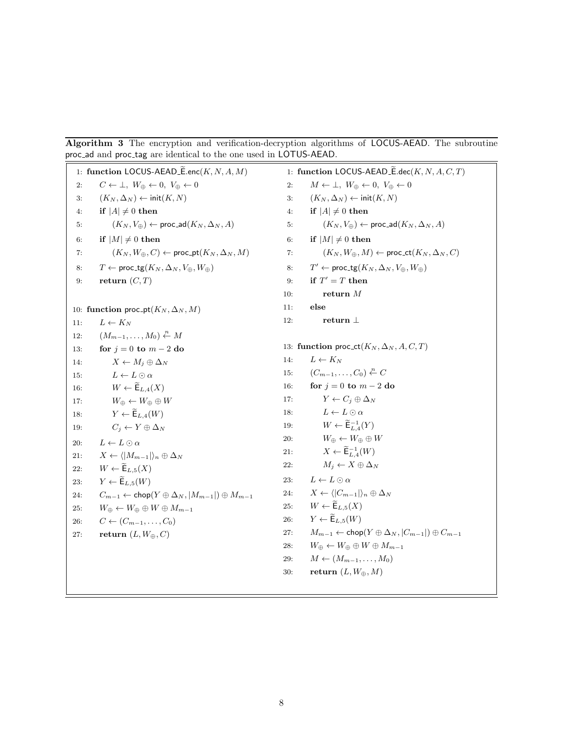<span id="page-8-0"></span>Algorithm 3 The encryption and verification-decryption algorithms of LOCUS-AEAD. The subroutine proc ad and proc tag are identical to the one used in LOTUS-AEAD.

1: function LOCUS-AEAD\_ $\widetilde{\mathsf{E}}$ .enc $(K, N, A, M)$ 2:  $C \leftarrow \perp, W_{\oplus} \leftarrow 0, V_{\oplus} \leftarrow 0$ 3:  $(K_N, \Delta_N) \leftarrow \text{init}(K, N)$ 4: if  $|A| \neq 0$  then 5:  $(K_N, V_{\oplus}) \leftarrow \text{proc\_ad}(K_N, \Delta_N, A)$ 6: if  $|M| \neq 0$  then 7:  $(K_N, W_{\oplus}, C) \leftarrow \text{proc\_pt}(K_N, \Delta_N, M)$ 8:  $T \leftarrow \text{proc\_tg}(K_N, \Delta_N, V_{\oplus}, W_{\oplus})$ 9: return  $(C, T)$ 10: function proc\_pt( $K_N, \Delta_N, M$ ) 11:  $L \leftarrow K_N$ 12:  $(M_{m-1},\ldots,M_0)\stackrel{n}{\leftarrow}M$ 13: **for**  $j = 0$  to  $m - 2$  do 14:  $X \leftarrow M_j \oplus \Delta_N$ 15:  $L \leftarrow L \odot \alpha$ 16:  $W \leftarrow \widetilde{\mathsf{E}}_{L,4}(X)$ 17:  $W_{\oplus} \leftarrow W_{\oplus} \oplus W$ 18:  $Y \leftarrow \widetilde{\mathsf{E}}_{L,4}(W)$ 19:  $C_i \leftarrow Y \oplus \Delta_N$ 20:  $L \leftarrow L \odot \alpha$ 21:  $X \leftarrow \langle |M_{m-1}| \rangle_n \oplus \Delta_N$ 22:  $W \leftarrow \widetilde{\mathsf{E}}_{L,5}(X)$ <br>
23:  $Y \leftarrow \widetilde{\mathsf{E}}_{L,5}(W)$  $Y \leftarrow \widetilde{\mathsf{E}}_{L,5}(W)$ 24:  $C_{m-1} \leftarrow \textsf{chop}(Y \oplus \Delta_N, |M_{m-1}|) \oplus M_{m-1}$ 25:  $W_{\oplus} \leftarrow W_{\oplus} \oplus W \oplus M_{m-1}$ 26:  $C \leftarrow (C_{m-1}, \ldots, C_0)$ 27: return  $(L, W_{\oplus}, C)$ 1: function LOCUS-AEAD\_ $\widetilde{\mathsf{E}}.\mathsf{dec}(K, N, A, C, T)$ 2:  $M \leftarrow \perp, W_{\oplus} \leftarrow 0, V_{\oplus} \leftarrow 0$ 3:  $(K_N, \Delta_N) \leftarrow \text{init}(K, N)$ 4: if  $|A| \neq 0$  then 5:  $(K_N, V_{\oplus}) \leftarrow \text{proc\_ad}(K_N, \Delta_N, A)$ 6: if  $|M| \neq 0$  then 7:  $(K_N, W_{\oplus}, M) \leftarrow \text{proc\_ct}(K_N, \Delta_N, C)$ 8:  $T' \leftarrow \text{proc\_tg}(K_N, \Delta_N, V_{\oplus}, W_{\oplus})$ 9: if  $T' = T$  then 10:  $r_{\text{return }M}$ 11: else 12: return ⊥ 13: function proc\_ct( $K_N, \Delta_N, A, C, T$ ) 14:  $L \leftarrow K_N$ 15:  $(C_{m-1},\ldots,C_0)\stackrel{n}{\leftarrow}C$ 16: for  $j = 0$  to  $m - 2$  do 17:  $Y \leftarrow C_i \oplus \Delta_N$ 18:  $L \leftarrow L \odot \alpha$ 19:  $W \leftarrow \widetilde{\mathsf{E}}_{L,4}^{-1}(Y)$ 20:  $W_{\oplus} \leftarrow W_{\oplus} \oplus W$ 21:  $X \leftarrow \widetilde{\mathsf{E}}_{L,4}^{-1}(W)$ 22:  $M_j \leftarrow X \oplus \Delta_N$ 23:  $L \leftarrow L \odot \alpha$ 24:  $X \leftarrow \langle |C_{m-1}|\rangle_n \oplus \Delta_N$ 25:  $W \leftarrow \widetilde{\mathsf{E}}_{L,5}(X)$ 26:  $Y \leftarrow \widetilde{\mathsf{E}}_{L,5}(W)$ 27:  $M_{m-1} \leftarrow \text{chop}(Y \oplus \Delta_N, |C_{m-1}|) \oplus C_{m-1}$ 28:  $W_{\oplus} \leftarrow W_{\oplus} \oplus W \oplus M_{m-1}$ 29:  $M \leftarrow (M_{m-1}, \ldots, M_0)$ 30: return  $(L, W_{\oplus}, M)$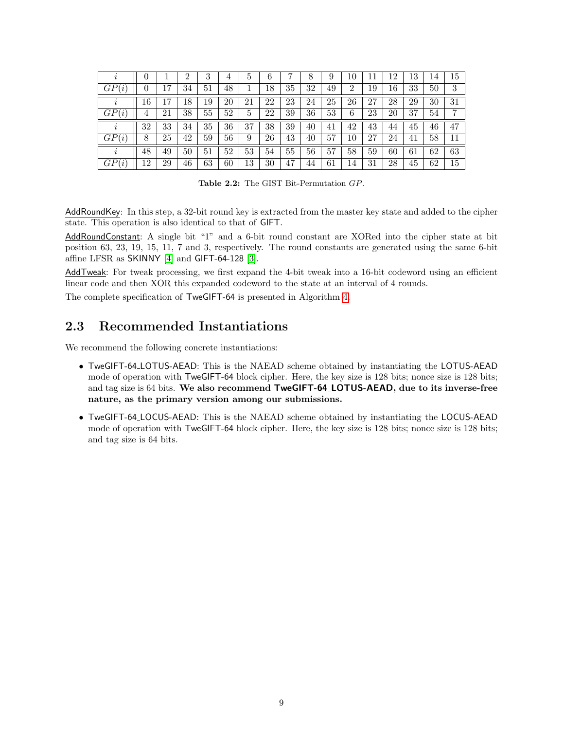<span id="page-9-0"></span>

|          | U        |    | 2  | 3  | 4  | 5  | 6  | ,  | 8  | 9  | 10             | 11 | 12 | 13 | 14 | 15 |
|----------|----------|----|----|----|----|----|----|----|----|----|----------------|----|----|----|----|----|
| GP(i)    | $\theta$ | 17 | 34 | 51 | 48 |    | 18 | 35 | 32 | 49 | $\overline{2}$ | 19 | 16 | 33 | 50 | 3  |
| $\imath$ | 16       | 17 | 18 | 19 | 20 | 21 | 22 | 23 | 24 | 25 | 26             | 27 | 28 | 29 | 30 | 31 |
| GP(i)    | 4        | 21 | 38 | 55 | 52 | 5  | 22 | 39 | 36 | 53 | 6              | 23 | 20 | 37 | 54 | 7  |
| $\imath$ | 32       | 33 | 34 | 35 | 36 | 37 | 38 | 39 | 40 | 41 | 42             | 43 | 44 | 45 | 46 | 47 |
| GP(i)    | 8        | 25 | 42 | 59 | 56 | 9  | 26 | 43 | 40 | 57 | 10             | 27 | 24 | 41 | 58 | 11 |
| $\iota$  | 48       | 49 | 50 | 51 | 52 | 53 | 54 | 55 | 56 | 57 | 58             | 59 | 60 | 61 | 62 | 63 |
| GP(i)    | 12       | 29 | 46 | 63 | 60 | 13 | 30 | 47 | 44 | 61 | 14             | 31 | 28 | 45 | 62 | 15 |

Table 2.2: The GIST Bit-Permutation GP.

AddRoundKey: In this step, a 32-bit round key is extracted from the master key state and added to the cipher state. This operation is also identical to that of GIFT.

AddRoundConstant: A single bit "1" and a 6-bit round constant are XORed into the cipher state at bit position 63, 23, 19, 15, 11, 7 and 3, respectively. The round constants are generated using the same 6-bit affine LFSR as  $SKINNY$  [\[4\]](#page-20-7) and  $GIFT-64-128$  [\[3\]](#page-20-3).

AddTweak: For tweak processing, we first expand the 4-bit tweak into a 16-bit codeword using an efficient linear code and then XOR this expanded codeword to the state at an interval of 4 rounds.

The complete specification of TweGIFT-64 is presented in Algorithm [4.](#page-10-0)

### 2.3 Recommended Instantiations

We recommend the following concrete instantiations:

- TweGIFT-64 LOTUS-AEAD: This is the NAEAD scheme obtained by instantiating the LOTUS-AEAD mode of operation with TweGIFT-64 block cipher. Here, the key size is 128 bits; nonce size is 128 bits; and tag size is 64 bits. We also recommend TweGIFT-64 LOTUS-AEAD, due to its inverse-free nature, as the primary version among our submissions.
- TweGIFT-64 LOCUS-AEAD: This is the NAEAD scheme obtained by instantiating the LOCUS-AEAD mode of operation with TweGIFT-64 block cipher. Here, the key size is 128 bits; nonce size is 128 bits; and tag size is 64 bits.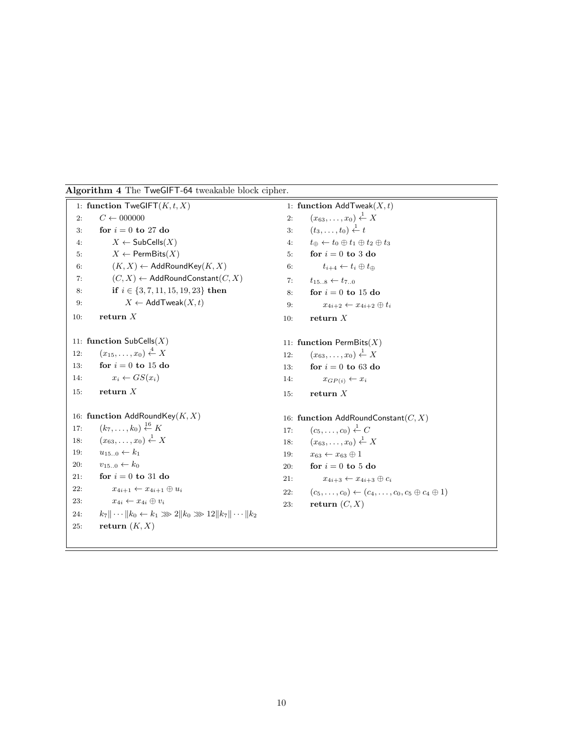<span id="page-10-0"></span>

| Algorithm 4 The TweGIFT-64 tweakable block cipher. |  |  |
|----------------------------------------------------|--|--|
|----------------------------------------------------|--|--|

|     | 1: function ${\sf TweGIFT}(K, t, X)$                                  |     | 1: function $AddTwoak(X,t)$                                                 |
|-----|-----------------------------------------------------------------------|-----|-----------------------------------------------------------------------------|
| 2:  | $C \leftarrow 000000$                                                 | 2:  | $(x_{63},\ldots,x_0)\overset{1}{\leftarrow}X$                               |
| 3:  | for $i = 0$ to 27 do                                                  | 3:  | $(t_3,\ldots,t_0)\overset{1}{\leftarrow}t$                                  |
| 4:  | $X \leftarrow$ SubCells $(X)$                                         | 4:  | $t_{\oplus} \leftarrow t_0 \oplus t_1 \oplus t_2 \oplus t_3$                |
| 5:  | $X \leftarrow$ PermBits $(X)$                                         | 5:  | for $i=0$ to 3 do                                                           |
| 6:  | $(K, X) \leftarrow$ AddRoundKey $(K, X)$                              | 6:  | $t_{i+4} \leftarrow t_i \oplus t_{\oplus}$                                  |
| 7:  | $(C, X) \leftarrow$ AddRoundConstant $(C, X)$                         | 7:  | $t_{158} \leftarrow t_{70}$                                                 |
| 8:  | if $i \in \{3, 7, 11, 15, 19, 23\}$ then                              | 8:  | for $i = 0$ to 15 do                                                        |
| 9:  | $X \leftarrow \mathsf{AddTwoak}(X, t)$                                | 9:  | $x_{4i+2} \leftarrow x_{4i+2} \oplus t_i$                                   |
| 10: | return $X$                                                            | 10: | return $X$                                                                  |
|     |                                                                       |     |                                                                             |
|     | 11: function $\mathsf{SubCells}(X)$                                   |     | 11: function PermBits $(X)$                                                 |
| 12: | $(x_{15},,x_0) \stackrel{4}{\leftarrow} X$                            | 12: | $(x_{63},\ldots,x_0)\overset{1}{\leftarrow}X$                               |
| 13: | for $i = 0$ to 15 do                                                  | 13: | for $i = 0$ to 63 do                                                        |
| 14: | $x_i \leftarrow GS(x_i)$                                              | 14: | $x_{GP(i)} \leftarrow x_i$                                                  |
| 15: | return $X$                                                            | 15: | return $X$                                                                  |
|     | 16: function AddRoundKey $(K, X)$                                     |     | 16: function AddRoundConstant( $C, X$ )                                     |
| 17: | $(k_7, \ldots, k_0) \stackrel{16}{\leftarrow} K$                      | 17: | $(c_5,\ldots,c_0)\stackrel{1}{\leftarrow}C$                                 |
| 18: | $(x_{63},,x_0) \stackrel{1}{\leftarrow} X$                            | 18: | $(x_{63},\ldots,x_0)\overset{1}{\leftarrow}X$                               |
| 19: | $u_{150} \leftarrow k_1$                                              | 19: | $x_{63} \leftarrow x_{63} \oplus 1$                                         |
| 20: | $v_{150} \leftarrow k_0$                                              | 20: | for $i = 0$ to 5 do                                                         |
| 21: | for $i = 0$ to 31 do                                                  | 21: | $x_{4i+3} \leftarrow x_{4i+3} \oplus c_i$                                   |
| 22: | $x_{4i+1} \leftarrow x_{4i+1} \oplus u_i$                             | 22: | $(c_5, \ldots, c_0) \leftarrow (c_4, \ldots, c_0, c_5 \oplus c_4 \oplus 1)$ |
| 23: | $x_{4i} \leftarrow x_{4i} \oplus v_i$                                 | 23: | return $(C, X)$                                                             |
| 24: | $k_7\ \cdots\ k_0 \leftarrow k_1 \gg 2\ k_0 \gg 12\ k_7\ \cdots\ k_2$ |     |                                                                             |
| 25: | return $(K, X)$                                                       |     |                                                                             |
|     |                                                                       |     |                                                                             |
|     |                                                                       |     |                                                                             |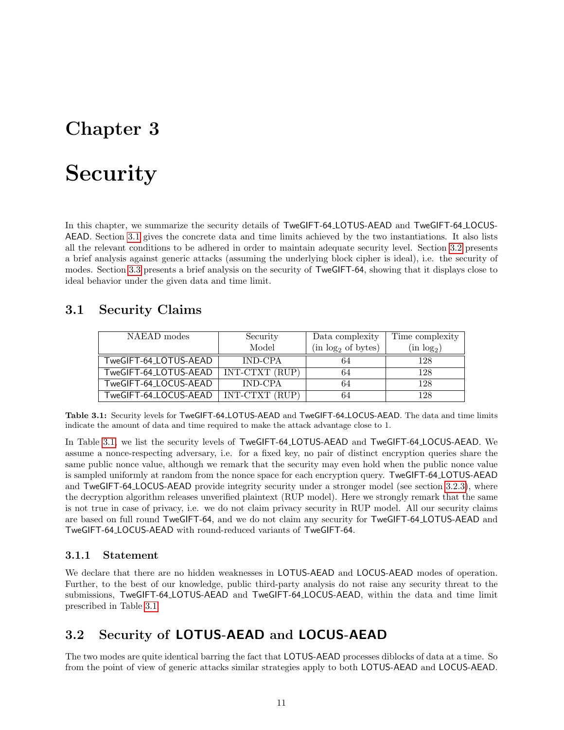# <span id="page-11-3"></span>**Security**

In this chapter, we summarize the security details of TweGIFT-64\_LOTUS-AEAD and TweGIFT-64\_LOCUS-AEAD. Section [3.1](#page-11-0) gives the concrete data and time limits achieved by the two instantiations. It also lists all the relevant conditions to be adhered in order to maintain adequate security level. Section [3.2](#page-11-1) presents a brief analysis against generic attacks (assuming the underlying block cipher is ideal), i.e. the security of modes. Section [3.3](#page-13-0) presents a brief analysis on the security of TweGIFT-64, showing that it displays close to ideal behavior under the given data and time limit.

### <span id="page-11-2"></span><span id="page-11-0"></span>3.1 Security Claims

| NAEAD modes           | Security       | Data complexity                | Time complexity        |
|-----------------------|----------------|--------------------------------|------------------------|
|                       | Model          | (in log <sub>2</sub> of bytes) | (in log <sub>2</sub> ) |
| TweGIFT-64_LOTUS-AEAD | <b>IND-CPA</b> | 64                             | 128                    |
| TweGIFT-64_LOTUS-AEAD | INT-CTXT (RUP) | 64                             | 128                    |
| TweGIFT-64_LOCUS-AEAD | IND-CPA        | 64                             | 128                    |
| TweGIFT-64_LOCUS-AEAD | INT-CTXT (RUP) | 64                             | 128                    |

Table 3.1: Security levels for TweGIFT-64 LOTUS-AEAD and TweGIFT-64 LOCUS-AEAD. The data and time limits indicate the amount of data and time required to make the attack advantage close to 1.

In Table [3.1,](#page-11-2) we list the security levels of TweGIFT-64 LOTUS-AEAD and TweGIFT-64 LOCUS-AEAD. We assume a nonce-respecting adversary, i.e. for a fixed key, no pair of distinct encryption queries share the same public nonce value, although we remark that the security may even hold when the public nonce value is sampled uniformly at random from the nonce space for each encryption query. TweGIFT-64 LOTUS-AEAD and TweGIFT-64 LOCUS-AEAD provide integrity security under a stronger model (see section [3.2.3\)](#page-12-0), where the decryption algorithm releases unverified plaintext (RUP model). Here we strongly remark that the same is not true in case of privacy, i.e. we do not claim privacy security in RUP model. All our security claims are based on full round TweGIFT-64, and we do not claim any security for TweGIFT-64 LOTUS-AEAD and TweGIFT-64 LOCUS-AEAD with round-reduced variants of TweGIFT-64.

#### 3.1.1 Statement

We declare that there are no hidden weaknesses in **LOTUS-AEAD** and **LOCUS-AEAD** modes of operation. Further, to the best of our knowledge, public third-party analysis do not raise any security threat to the submissions, TweGIFT-64 LOTUS-AEAD and TweGIFT-64 LOCUS-AEAD, within the data and time limit prescribed in Table [3.1.](#page-11-2)

## <span id="page-11-1"></span>3.2 Security of LOTUS-AEAD and LOCUS-AEAD

The two modes are quite identical barring the fact that LOTUS-AEAD processes diblocks of data at a time. So from the point of view of generic attacks similar strategies apply to both LOTUS-AEAD and LOCUS-AEAD.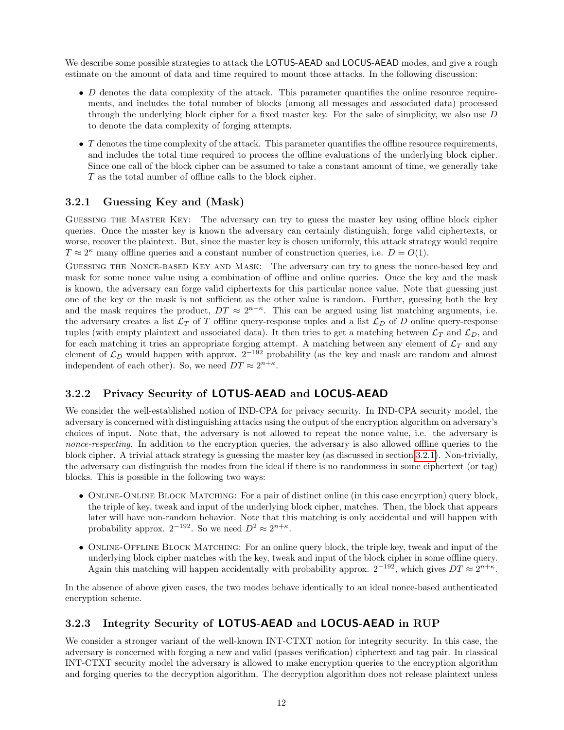We describe some possible strategies to attack the **LOTUS-AEAD** and **LOCUS-AEAD** modes, and give a rough estimate on the amount of data and time required to mount those attacks. In the following discussion:

- $\bullet$  D denotes the data complexity of the attack. This parameter quantifies the online resource requirements, and includes the total number of blocks (among all messages and associated data) processed through the underlying block cipher for a fixed master key. For the sake of simplicity, we also use D to denote the data complexity of forging attempts.
- $\bullet$  T denotes the time complexity of the attack. This parameter quantifies the offline resource requirements, and includes the total time required to process the offline evaluations of the underlying block cipher. Since one call of the block cipher can be assumed to take a constant amount of time, we generally take T as the total number of offline calls to the block cipher.

#### <span id="page-12-1"></span>3.2.1 Guessing Key and (Mask)

Guessing the Master Key: The adversary can try to guess the master key using offline block cipher queries. Once the master key is known the adversary can certainly distinguish, forge valid ciphertexts, or worse, recover the plaintext. But, since the master key is chosen uniformly, this attack strategy would require  $T \approx 2^{\kappa}$  many offline queries and a constant number of construction queries, i.e.  $D = O(1)$ .

Guessing the Nonce-based Key and Mask: The adversary can try to guess the nonce-based key and mask for some nonce value using a combination of offline and online queries. Once the key and the mask is known, the adversary can forge valid ciphertexts for this particular nonce value. Note that guessing just one of the key or the mask is not sufficient as the other value is random. Further, guessing both the key and the mask requires the product,  $DT \approx 2^{n+\kappa}$ . This can be argued using list matching arguments, i.e. the adversary creates a list  $\mathcal{L}_T$  of T offline query-response tuples and a list  $\mathcal{L}_D$  of D online query-response tuples (with empty plaintext and associated data). It then tries to get a matching between  $\mathcal{L}_T$  and  $\mathcal{L}_D$ , and for each matching it tries an appropriate forging attempt. A matching between any element of  $\mathcal{L}_T$  and any element of  $\mathcal{L}_D$  would happen with approx.  $2^{-192}$  probability (as the key and mask are random and almost independent of each other). So, we need  $DT \approx 2^{n+\kappa}$ .

### <span id="page-12-2"></span>3.2.2 Privacy Security of LOTUS-AEAD and LOCUS-AEAD

We consider the well-established notion of IND-CPA for privacy security. In IND-CPA security model, the adversary is concerned with distinguishing attacks using the output of the encryption algorithm on adversary's choices of input. Note that, the adversary is not allowed to repeat the nonce value, i.e. the adversary is nonce-respecting. In addition to the encryption queries, the adversary is also allowed offline queries to the block cipher. A trivial attack strategy is guessing the master key (as discussed in section [3.2.1\)](#page-12-1). Non-trivially, the adversary can distinguish the modes from the ideal if there is no randomness in some ciphertext (or tag) blocks. This is possible in the following two ways:

- ONLINE-ONLINE BLOCK MATCHING: For a pair of distinct online (in this case encyrption) query block, the triple of key, tweak and input of the underlying block cipher, matches. Then, the block that appears later will have non-random behavior. Note that this matching is only accidental and will happen with probability approx.  $2^{-192}$ . So we need  $D^2 \approx 2^{n+\kappa}$ .
- ONLINE-OFFLINE BLOCK MATCHING: For an online query block, the triple key, tweak and input of the underlying block cipher matches with the key, tweak and input of the block cipher in some offline query. Again this matching will happen accidentally with probability approx.  $2^{-192}$ , which gives  $DT \approx 2^{n+\kappa}$ .

In the absence of above given cases, the two modes behave identically to an ideal nonce-based authenticated encryption scheme.

### <span id="page-12-0"></span>3.2.3 Integrity Security of LOTUS-AEAD and LOCUS-AEAD in RUP

We consider a stronger variant of the well-known INT-CTXT notion for integrity security. In this case, the adversary is concerned with forging a new and valid (passes verification) ciphertext and tag pair. In classical INT-CTXT security model the adversary is allowed to make encryption queries to the encryption algorithm and forging queries to the decryption algorithm. The decryption algorithm does not release plaintext unless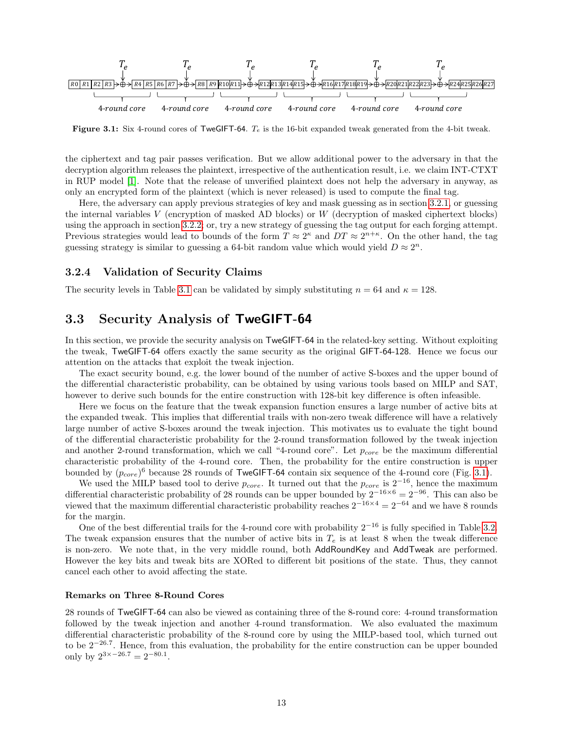<span id="page-13-1"></span>

**Figure 3.1:** Six 4-round cores of TweGIFT-64.  $T_e$  is the 16-bit expanded tweak generated from the 4-bit tweak.

the ciphertext and tag pair passes verification. But we allow additional power to the adversary in that the decryption algorithm releases the plaintext, irrespective of the authentication result, i.e. we claim INT-CTXT in RUP model [\[1\]](#page-20-8). Note that the release of unverified plaintext does not help the adversary in anyway, as only an encrypted form of the plaintext (which is never released) is used to compute the final tag.

Here, the adversary can apply previous strategies of key and mask guessing as in section [3.2.1,](#page-12-1) or guessing the internal variables V (encryption of masked AD blocks) or  $W$  (decryption of masked ciphertext blocks) using the approach in section [3.2.2;](#page-12-2) or, try a new strategy of guessing the tag output for each forging attempt. Previous strategies would lead to bounds of the form  $T \approx 2^{\kappa}$  and  $DT \approx 2^{n+\kappa}$ . On the other hand, the tag guessing strategy is similar to guessing a 64-bit random value which would yield  $D \approx 2^n$ .

#### 3.2.4 Validation of Security Claims

The security levels in Table [3.1](#page-11-2) can be validated by simply substituting  $n = 64$  and  $\kappa = 128$ .

### <span id="page-13-0"></span>3.3 Security Analysis of TweGIFT-64

In this section, we provide the security analysis on TweGIFT-64 in the related-key setting. Without exploiting the tweak, TweGIFT-64 offers exactly the same security as the original GIFT-64-128. Hence we focus our attention on the attacks that exploit the tweak injection.

The exact security bound, e.g. the lower bound of the number of active S-boxes and the upper bound of the differential characteristic probability, can be obtained by using various tools based on MILP and SAT, however to derive such bounds for the entire construction with 128-bit key difference is often infeasible.

Here we focus on the feature that the tweak expansion function ensures a large number of active bits at the expanded tweak. This implies that differential trails with non-zero tweak difference will have a relatively large number of active S-boxes around the tweak injection. This motivates us to evaluate the tight bound of the differential characteristic probability for the 2-round transformation followed by the tweak injection and another 2-round transformation, which we call "4-round core". Let  $p_{core}$  be the maximum differential characteristic probability of the 4-round core. Then, the probability for the entire construction is upper bounded by  $(p_{core})^6$  because 28 rounds of TweGIFT-64 contain six sequence of the 4-round core (Fig. [3.1\)](#page-13-1).

We used the MILP based tool to derive  $p_{core}$ . It turned out that the  $p_{core}$  is  $2^{-16}$ , hence the maximum differential characteristic probability of 28 rounds can be upper bounded by  $2^{-16\times6} = 2^{-96}$ . This can also be viewed that the maximum differential characteristic probability reaches  $2^{-16\times4} = 2^{-64}$  and we have 8 rounds for the margin.

One of the best differential trails for the 4-round core with probability  $2^{-16}$  is fully specified in Table [3.2.](#page-14-0) The tweak expansion ensures that the number of active bits in  $T_e$  is at least 8 when the tweak difference is non-zero. We note that, in the very middle round, both AddRoundKey and AddTweak are performed. However the key bits and tweak bits are XORed to different bit positions of the state. Thus, they cannot cancel each other to avoid affecting the state.

#### Remarks on Three 8-Round Cores

28 rounds of TweGIFT-64 can also be viewed as containing three of the 8-round core: 4-round transformation followed by the tweak injection and another 4-round transformation. We also evaluated the maximum differential characteristic probability of the 8-round core by using the MILP-based tool, which turned out to be 2−26.<sup>7</sup> . Hence, from this evaluation, the probability for the entire construction can be upper bounded only by  $2^{3 \times -26.7} = 2^{-80.1}$ .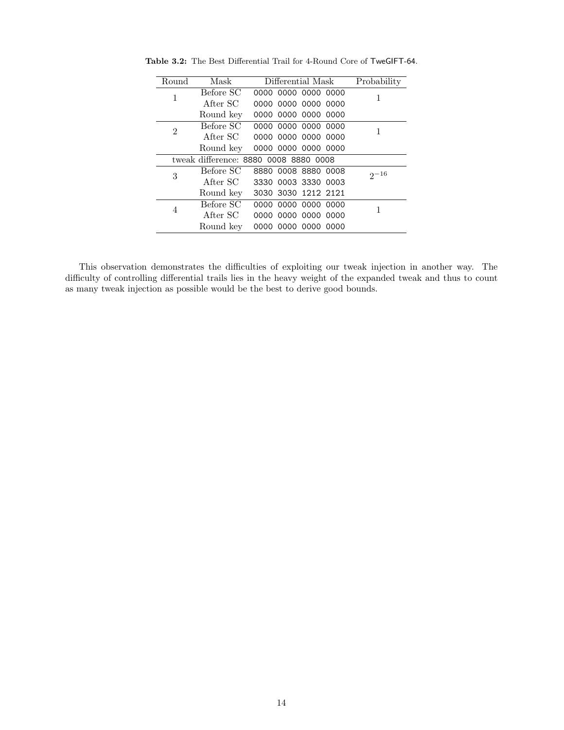| Round          | Mask      | Probability                           |          |
|----------------|-----------|---------------------------------------|----------|
| 1              | Before SC | 0000 0000 0000 0000                   |          |
|                | After SC  | 0000 0000 0000 0000                   |          |
|                | Round key | 0000 0000 0000 0000                   |          |
| $\overline{2}$ | Before SC | 0000 0000 0000 0000                   | 1        |
|                | After SC  | 0000 0000 0000 0000                   |          |
|                | Round key | 0000 0000 0000 0000                   |          |
|                |           | tweak difference: 8880 0008 8880 0008 |          |
| 3              | Before SC | 8880 0008 8880 0008                   | $2 - 16$ |
|                | After SC  | 3330 0003 3330 0003                   |          |
|                | Round key | 3030 3030 1212 2121                   |          |
|                | Before SC | 0000 0000 0000 0000                   | 1        |
| 4              | After SC  | 0000 0000 0000 0000                   |          |
|                | Round key | 0000 0000 0000 0000                   |          |
|                |           |                                       |          |

<span id="page-14-0"></span>Table 3.2: The Best Differential Trail for 4-Round Core of TweGIFT-64.

This observation demonstrates the difficulties of exploiting our tweak injection in another way. The difficulty of controlling differential trails lies in the heavy weight of the expanded tweak and thus to count as many tweak injection as possible would be the best to derive good bounds.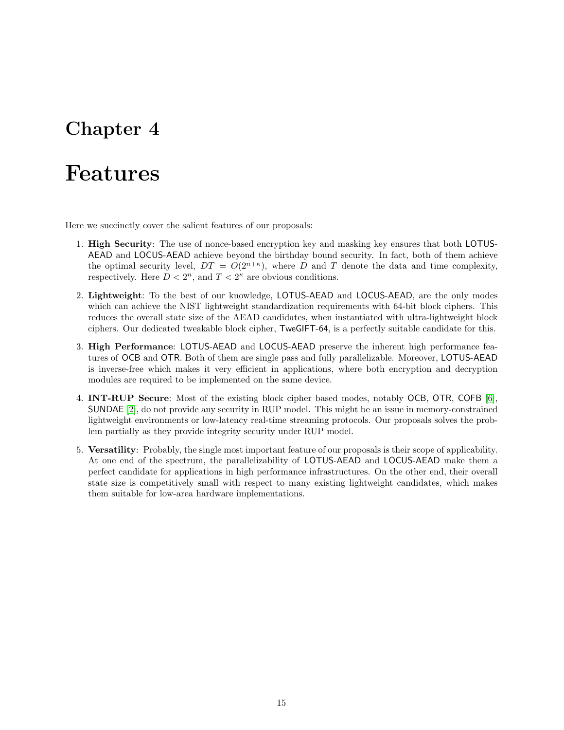## Features

Here we succinctly cover the salient features of our proposals:

- 1. High Security: The use of nonce-based encryption key and masking key ensures that both LOTUS-AEAD and LOCUS-AEAD achieve beyond the birthday bound security. In fact, both of them achieve the optimal security level,  $DT = O(2^{n+\kappa})$ , where D and T denote the data and time complexity, respectively. Here  $D < 2<sup>n</sup>$ , and  $T < 2<sup>\kappa</sup>$  are obvious conditions.
- 2. Lightweight: To the best of our knowledge, LOTUS-AEAD and LOCUS-AEAD, are the only modes which can achieve the NIST lightweight standardization requirements with 64-bit block ciphers. This reduces the overall state size of the AEAD candidates, when instantiated with ultra-lightweight block ciphers. Our dedicated tweakable block cipher, TweGIFT-64, is a perfectly suitable candidate for this.
- 3. High Performance: LOTUS-AEAD and LOCUS-AEAD preserve the inherent high performance features of OCB and OTR. Both of them are single pass and fully parallelizable. Moreover, LOTUS-AEAD is inverse-free which makes it very efficient in applications, where both encryption and decryption modules are required to be implemented on the same device.
- 4. INT-RUP Secure: Most of the existing block cipher based modes, notably OCB, OTR, COFB [\[6\]](#page-20-9), SUNDAE [\[2\]](#page-20-10), do not provide any security in RUP model. This might be an issue in memory-constrained lightweight environments or low-latency real-time streaming protocols. Our proposals solves the problem partially as they provide integrity security under RUP model.
- 5. Versatility: Probably, the single most important feature of our proposals is their scope of applicability. At one end of the spectrum, the parallelizability of LOTUS-AEAD and LOCUS-AEAD make them a perfect candidate for applications in high performance infrastructures. On the other end, their overall state size is competitively small with respect to many existing lightweight candidates, which makes them suitable for low-area hardware implementations.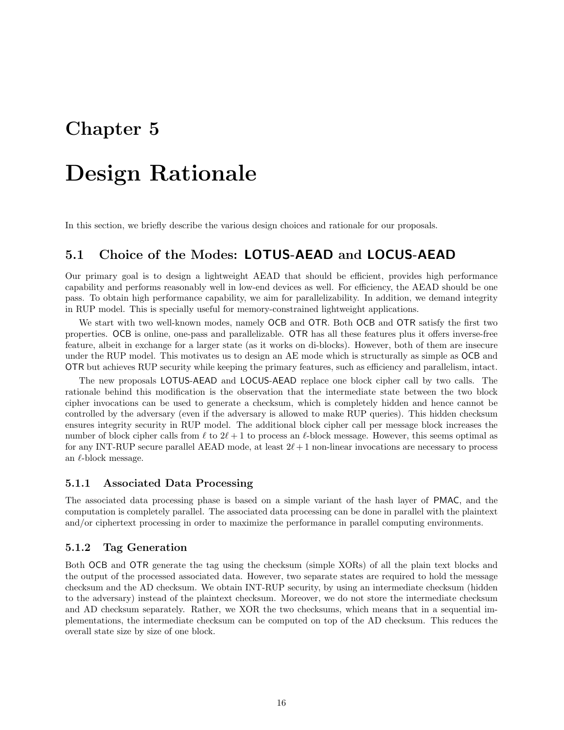## Design Rationale

In this section, we briefly describe the various design choices and rationale for our proposals.

### 5.1 Choice of the Modes: LOTUS-AEAD and LOCUS-AEAD

Our primary goal is to design a lightweight AEAD that should be efficient, provides high performance capability and performs reasonably well in low-end devices as well. For efficiency, the AEAD should be one pass. To obtain high performance capability, we aim for parallelizability. In addition, we demand integrity in RUP model. This is specially useful for memory-constrained lightweight applications.

We start with two well-known modes, namely OCB and OTR. Both OCB and OTR satisfy the first two properties. OCB is online, one-pass and parallelizable. OTR has all these features plus it offers inverse-free feature, albeit in exchange for a larger state (as it works on di-blocks). However, both of them are insecure under the RUP model. This motivates us to design an AE mode which is structurally as simple as OCB and OTR but achieves RUP security while keeping the primary features, such as efficiency and parallelism, intact.

The new proposals LOTUS-AEAD and LOCUS-AEAD replace one block cipher call by two calls. The rationale behind this modification is the observation that the intermediate state between the two block cipher invocations can be used to generate a checksum, which is completely hidden and hence cannot be controlled by the adversary (even if the adversary is allowed to make RUP queries). This hidden checksum ensures integrity security in RUP model. The additional block cipher call per message block increases the number of block cipher calls from  $\ell$  to  $2\ell + 1$  to process an  $\ell$ -block message. However, this seems optimal as for any INT-RUP secure parallel AEAD mode, at least  $2\ell + 1$  non-linear invocations are necessary to process an  $\ell$ -block message.

#### 5.1.1 Associated Data Processing

The associated data processing phase is based on a simple variant of the hash layer of PMAC, and the computation is completely parallel. The associated data processing can be done in parallel with the plaintext and/or ciphertext processing in order to maximize the performance in parallel computing environments.

#### 5.1.2 Tag Generation

Both OCB and OTR generate the tag using the checksum (simple XORs) of all the plain text blocks and the output of the processed associated data. However, two separate states are required to hold the message checksum and the AD checksum. We obtain INT-RUP security, by using an intermediate checksum (hidden to the adversary) instead of the plaintext checksum. Moreover, we do not store the intermediate checksum and AD checksum separately. Rather, we XOR the two checksums, which means that in a sequential implementations, the intermediate checksum can be computed on top of the AD checksum. This reduces the overall state size by size of one block.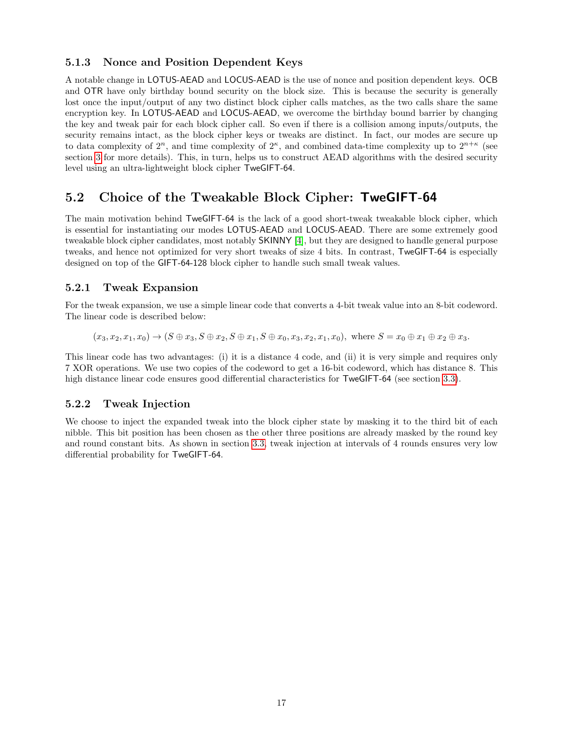#### 5.1.3 Nonce and Position Dependent Keys

A notable change in LOTUS-AEAD and LOCUS-AEAD is the use of nonce and position dependent keys. OCB and OTR have only birthday bound security on the block size. This is because the security is generally lost once the input/output of any two distinct block cipher calls matches, as the two calls share the same encryption key. In LOTUS-AEAD and LOCUS-AEAD, we overcome the birthday bound barrier by changing the key and tweak pair for each block cipher call. So even if there is a collision among inputs/outputs, the security remains intact, as the block cipher keys or tweaks are distinct. In fact, our modes are secure up to data complexity of  $2^n$ , and time complexity of  $2^{\kappa}$ , and combined data-time complexity up to  $2^{n+\kappa}$  (see section [3](#page-11-3) for more details). This, in turn, helps us to construct AEAD algorithms with the desired security level using an ultra-lightweight block cipher TweGIFT-64.

### 5.2 Choice of the Tweakable Block Cipher: TweGIFT-64

The main motivation behind TweGIFT-64 is the lack of a good short-tweak tweakable block cipher, which is essential for instantiating our modes LOTUS-AEAD and LOCUS-AEAD. There are some extremely good tweakable block cipher candidates, most notably SKINNY [\[4\]](#page-20-7), but they are designed to handle general purpose tweaks, and hence not optimized for very short tweaks of size 4 bits. In contrast, TweGIFT-64 is especially designed on top of the GIFT-64-128 block cipher to handle such small tweak values.

#### 5.2.1 Tweak Expansion

For the tweak expansion, we use a simple linear code that converts a 4-bit tweak value into an 8-bit codeword. The linear code is described below:

 $(x_3, x_2, x_1, x_0) \to (S \oplus x_3, S \oplus x_2, S \oplus x_1, S \oplus x_0, x_3, x_2, x_1, x_0)$ , where  $S = x_0 \oplus x_1 \oplus x_2 \oplus x_3$ .

This linear code has two advantages: (i) it is a distance 4 code, and (ii) it is very simple and requires only 7 XOR operations. We use two copies of the codeword to get a 16-bit codeword, which has distance 8. This high distance linear code ensures good differential characteristics for TweGIFT-64 (see section [3.3\)](#page-13-0).

#### 5.2.2 Tweak Injection

We choose to inject the expanded tweak into the block cipher state by masking it to the third bit of each nibble. This bit position has been chosen as the other three positions are already masked by the round key and round constant bits. As shown in section [3.3,](#page-13-0) tweak injection at intervals of 4 rounds ensures very low differential probability for TweGIFT-64.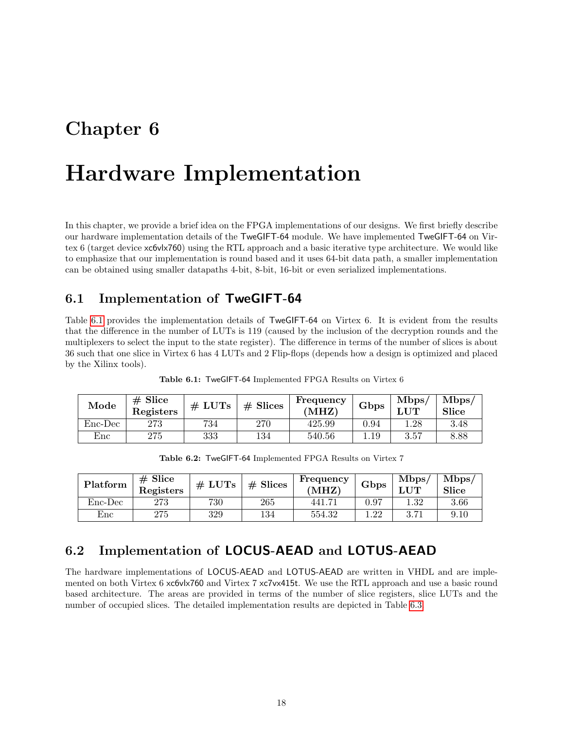## Hardware Implementation

In this chapter, we provide a brief idea on the FPGA implementations of our designs. We first briefly describe our hardware implementation details of the TweGIFT-64 module. We have implemented TweGIFT-64 on Virtex 6 (target device xc6vlx760) using the RTL approach and a basic iterative type architecture. We would like to emphasize that our implementation is round based and it uses 64-bit data path, a smaller implementation can be obtained using smaller datapaths 4-bit, 8-bit, 16-bit or even serialized implementations.

### 6.1 Implementation of TweGIFT-64

Table [6.1](#page-18-0) provides the implementation details of TweGIFT-64 on Virtex 6. It is evident from the results that the difference in the number of LUTs is 119 (caused by the inclusion of the decryption rounds and the multiplexers to select the input to the state register). The difference in terms of the number of slices is about 36 such that one slice in Virtex 6 has 4 LUTs and 2 Flip-flops (depends how a design is optimized and placed by the Xilinx tools).

<span id="page-18-0"></span>

| Mode                      | $# \nexists$<br>Registers | # LUTs | $#$ Slices | Frequency<br>MHZ) | Gbps | Mbps | Mbps/<br><b>Slice</b> |
|---------------------------|---------------------------|--------|------------|-------------------|------|------|-----------------------|
| $Enc\text{-}\mathrm{Dec}$ | $273\,$                   | 734    | 270        | 425.99            | 0.94 | .28  | 3.48                  |
| $\operatorname{Enc}$      | $275\,$                   | 333    | 134        | 540.56            | 1.19 | 3.57 | 8.88                  |

Table 6.1: TweGIFT-64 Implemented FPGA Results on Virtex 6

Table 6.2: TweGIFT-64 Implemented FPGA Results on Virtex 7

| Platform                  | $#$ Slice<br>Registers | # LUTs | $#$ Slices | Frequency<br>'MHZ) | Gbps | Mbps/<br>$_{\rm \bf LUT}$ | Mbps<br>Slice |
|---------------------------|------------------------|--------|------------|--------------------|------|---------------------------|---------------|
| $Enc\text{-}\mathrm{Dec}$ | $273\,$                | 730    | 265        | 441.71             | 0.97 | 1.32                      | 3.66          |
| Enc                       | 275                    | 329    | 134        | 554.32             | .22  | 3.71                      | 9.10          |

### 6.2 Implementation of LOCUS-AEAD and LOTUS-AEAD

The hardware implementations of LOCUS-AEAD and LOTUS-AEAD are written in VHDL and are implemented on both Virtex 6 xc6vlx760 and Virtex 7 xc7vx415t. We use the RTL approach and use a basic round based architecture. The areas are provided in terms of the number of slice registers, slice LUTs and the number of occupied slices. The detailed implementation results are depicted in Table [6.3.](#page-19-0)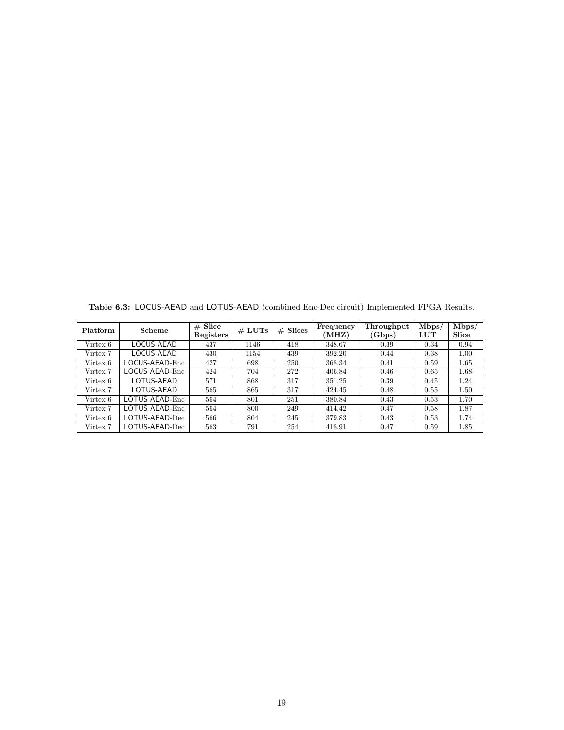| Platform | Scheme         | $# \nexists$<br>Registers | # LUTs | $#$ Slices | Frequency<br>(MHZ) | Throughput<br>(Gbps) | Mbps/<br>LUT | Mbps/<br>Slice |
|----------|----------------|---------------------------|--------|------------|--------------------|----------------------|--------------|----------------|
| Virtex 6 | LOCUS-AEAD     | 437                       | 1146   | 418        | 348.67             | 0.39                 | 0.34         | 0.94           |
| Virtex 7 | LOCUS-AEAD     | 430                       | 1154   | 439        | 392.20             | 0.44                 | 0.38         | 1.00           |
| Virtex 6 | LOCUS-AEAD-Enc | 427                       | 698    | 250        | 368.34             | 0.41                 | 0.59         | 1.65           |
| Virtex 7 | LOCUS-AEAD-Enc | 424                       | 704    | 272        | 406.84             | 0.46                 | 0.65         | 1.68           |
| Virtex 6 | LOTUS-AEAD     | 571                       | 868    | 317        | 351.25             | 0.39                 | 0.45         | 1.24           |
| Virtex 7 | LOTUS-AEAD     | 565                       | 865    | 317        | 424.45             | 0.48                 | 0.55         | 1.50           |
| Virtex 6 | LOTUS-AEAD-Enc | 564                       | 801    | 251        | 380.84             | 0.43                 | 0.53         | 1.70           |
| Virtex 7 | LOTUS-AEAD-Enc | 564                       | 800    | 249        | 414.42             | 0.47                 | 0.58         | 1.87           |
| Virtex 6 | LOTUS-AEAD-Dec | 566                       | 804    | 245        | 379.83             | 0.43                 | 0.53         | 1.74           |
| Virtex 7 | LOTUS-AEAD-Dec | 563                       | 791    | 254        | 418.91             | 0.47                 | 0.59         | 1.85           |

<span id="page-19-0"></span>Table 6.3: LOCUS-AEAD and LOTUS-AEAD (combined Enc-Dec circuit) Implemented FPGA Results.